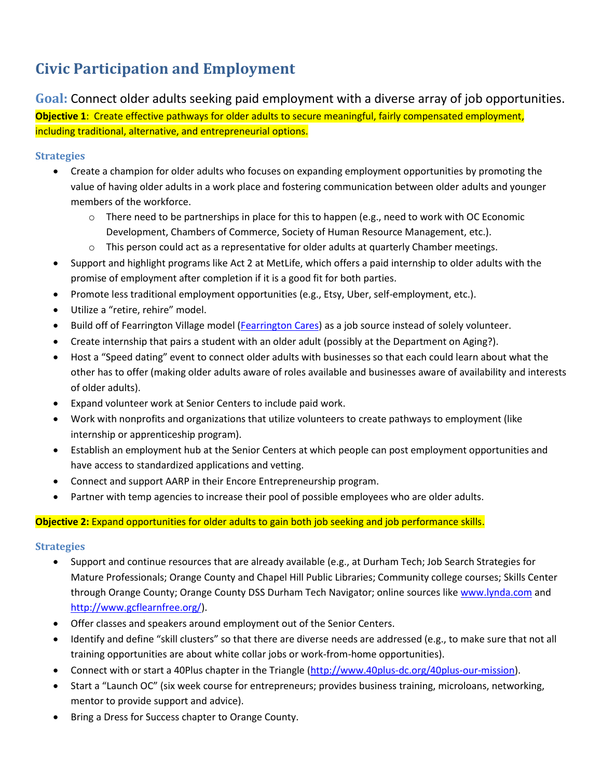# **Civic Participation and Employment**

**Goal:** Connect older adults seeking paid employment with a diverse array of job opportunities. **Objective 1**: Create effective pathways for older adults to secure meaningful, fairly compensated employment, including traditional, alternative, and entrepreneurial options.

## **Strategies**

- Create a champion for older adults who focuses on expanding employment opportunities by promoting the value of having older adults in a work place and fostering communication between older adults and younger members of the workforce.
	- $\circ$  There need to be partnerships in place for this to happen (e.g., need to work with OC Economic Development, Chambers of Commerce, Society of Human Resource Management, etc.).
	- $\circ$  This person could act as a representative for older adults at quarterly Chamber meetings.
- Support and highlight programs like Act 2 at MetLife, which offers a paid internship to older adults with the promise of employment after completion if it is a good fit for both parties.
- Promote less traditional employment opportunities (e.g., Etsy, Uber, self-employment, etc.).
- Utilize a "retire, rehire" model.
- Build off of Fearrington Village model [\(Fearrington Cares\)](http://fearringtoncares.org/) as a job source instead of solely volunteer.
- Create internship that pairs a student with an older adult (possibly at the Department on Aging?).
- Host a "Speed dating" event to connect older adults with businesses so that each could learn about what the other has to offer (making older adults aware of roles available and businesses aware of availability and interests of older adults).
- Expand volunteer work at Senior Centers to include paid work.
- Work with nonprofits and organizations that utilize volunteers to create pathways to employment (like internship or apprenticeship program).
- Establish an employment hub at the Senior Centers at which people can post employment opportunities and have access to standardized applications and vetting.
- Connect and support AARP in their Encore Entrepreneurship program.
- Partner with temp agencies to increase their pool of possible employees who are older adults.

## **Objective 2:** Expand opportunities for older adults to gain both job seeking and job performance skills.

## **Strategies**

- Support and continue resources that are already available (e.g., at Durham Tech; Job Search Strategies for Mature Professionals; Orange County and Chapel Hill Public Libraries; Community college courses; Skills Center through Orange County; Orange County DSS Durham Tech Navigator; online sources lik[e www.lynda.com](http://www.lynda.com/) and [http://www.gcflearnfree.org/\)](http://www.gcflearnfree.org/).
- Offer classes and speakers around employment out of the Senior Centers.
- Identify and define "skill clusters" so that there are diverse needs are addressed (e.g., to make sure that not all training opportunities are about white collar jobs or work-from-home opportunities).
- Connect with or start a 40Plus chapter in the Triangle [\(http://www.40plus-dc.org/40plus-our-mission\)](http://www.40plus-dc.org/40plus-our-mission).
- Start a "Launch OC" (six week course for entrepreneurs; provides business training, microloans, networking, mentor to provide support and advice).
- Bring a Dress for Success chapter to Orange County.